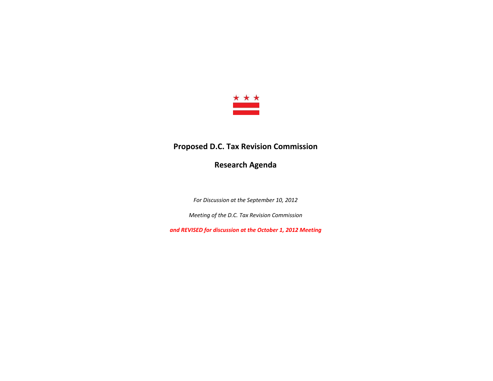

# **Proposed D.C. Tax Revision Commission**

**Research Agenda**

*For Discussion at the September 10, 2012*

*Meeting of the D.C. Tax Revision Commission*

*and REVISED for discussion at the October 1, 2012 Meeting*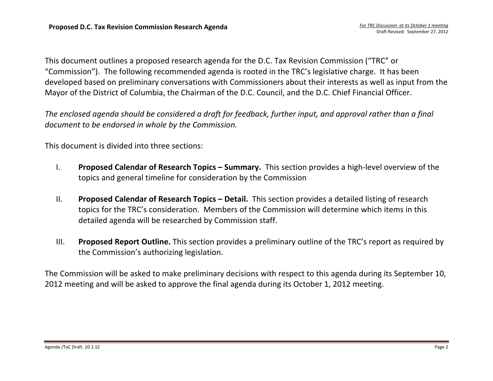This document outlines <sup>a</sup> proposed research agenda for the D.C. Tax Revision Commission ("TRC" or "Commission"). The following recommended agenda is rooted in the TRC's legislative charge. It has been developed based on preliminary conversations with Commissioners about their interests as well as input from the Mayor of the District of Columbia, the Chairman of the D.C. Council, and the D.C. Chief Financial Officer.

The enclosed agenda should be considered a draft for feedback, further input, and approval rather than a final *document to be endorsed in whole by the Commission.*

This document is divided into three sections:

- I. **Proposed Calendar of Research Topics – Summary.** This section provides <sup>a</sup> high‐level overview of the topics and general timeline for consideration by the Commission
- II. **Proposed Calendar of Research Topics – Detail.** This section provides <sup>a</sup> detailed listing of research topics for the TRC's consideration. Members of the Commission will determine which items in this detailed agenda will be researched by Commission staff.
- III. **Proposed Report Outline.** This section provides <sup>a</sup> preliminary outline of the TRC's report as required by the Commission's authorizing legislation.

The Commission will be asked to make preliminary decisions with respect to this agenda during its September 10, 2012 meeting and will be asked to approve the final agenda during its October 1, 2012 meeting.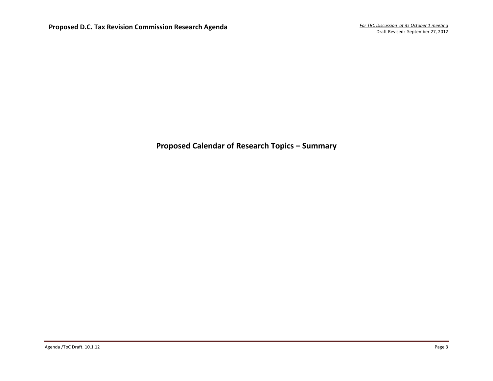**Proposed Calendar of Research Topics – Summary**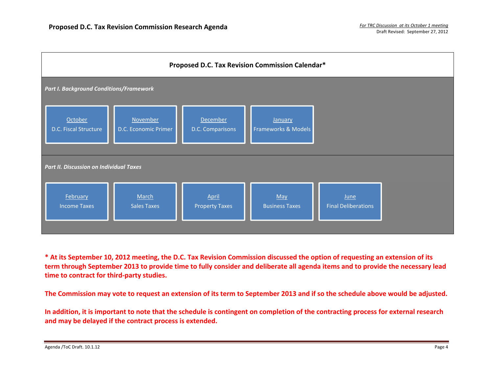

\* At its September 10, 2012 meeting, the D.C. Tax Revision Commission discussed the option of requesting an extension of its term through September 2013 to provide time to fully consider and deliberate all agenda items and to provide the necessary lead **time to contract for third‐party studies.**

The Commission may vote to request an extension of its term to September 2013 and if so the schedule above would be adjusted.

In addition, it is important to note that the schedule is contingent on completion of the contracting process for external research **and may be delayed if the contract process is extended.**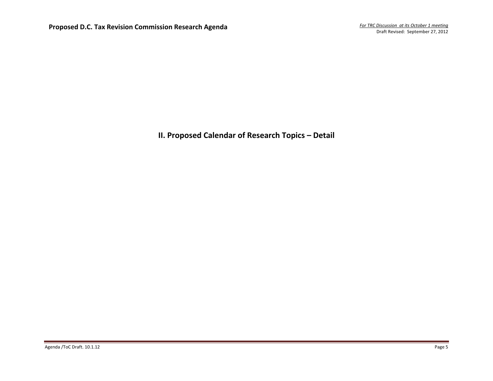**II. Proposed Calendar of Research Topics – Detail**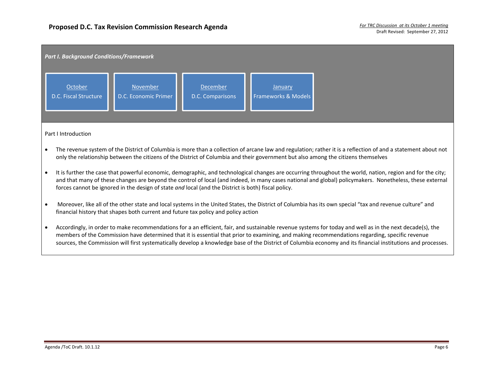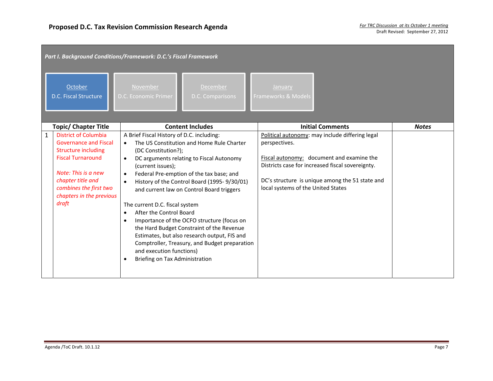|              | Part I. Background Conditions/Framework: D.C.'s Fiscal Framework |                                                                         |                                                                                       |              |  |  |  |
|--------------|------------------------------------------------------------------|-------------------------------------------------------------------------|---------------------------------------------------------------------------------------|--------------|--|--|--|
|              | October<br>D.C. Fiscal Structure                                 | <b>November</b><br>December<br>D.C. Economic Primer<br>D.C. Comparisons | January<br>Frameworks & Models                                                        |              |  |  |  |
|              | <b>Topic/ Chapter Title</b>                                      | <b>Content Includes</b>                                                 | <b>Initial Comments</b>                                                               | <b>Notes</b> |  |  |  |
| $\mathbf{1}$ | <b>District of Columbia</b>                                      | A Brief Fiscal History of D.C. including:                               | Political autonomy: may include differing legal                                       |              |  |  |  |
|              | <b>Governance and Fiscal</b>                                     | The US Constitution and Home Rule Charter<br>$\bullet$                  | perspectives.                                                                         |              |  |  |  |
|              | <b>Structure including</b>                                       | (DC Constitution?);                                                     |                                                                                       |              |  |  |  |
|              | <b>Fiscal Turnaround</b>                                         | DC arguments relating to Fiscal Autonomy<br>$\bullet$                   | Fiscal autonomy: document and examine the                                             |              |  |  |  |
|              |                                                                  | (current issues);                                                       | Districts case for increased fiscal sovereignty.                                      |              |  |  |  |
|              | Note: This is a new                                              | Federal Pre-emption of the tax base; and<br>$\bullet$                   |                                                                                       |              |  |  |  |
|              | chapter title and<br>combines the first two                      | History of the Control Board (1995-9/30/01)<br>$\bullet$                | DC's structure is unique among the 51 state and<br>local systems of the United States |              |  |  |  |
|              | chapters in the previous                                         | and current law on Control Board triggers                               |                                                                                       |              |  |  |  |
|              | draft                                                            | The current D.C. fiscal system                                          |                                                                                       |              |  |  |  |
|              |                                                                  | After the Control Board<br>$\bullet$                                    |                                                                                       |              |  |  |  |
|              |                                                                  | Importance of the OCFO structure (focus on<br>$\bullet$                 |                                                                                       |              |  |  |  |
|              |                                                                  | the Hard Budget Constraint of the Revenue                               |                                                                                       |              |  |  |  |
|              |                                                                  | Estimates, but also research output, FIS and                            |                                                                                       |              |  |  |  |
|              |                                                                  | Comptroller, Treasury, and Budget preparation                           |                                                                                       |              |  |  |  |
|              |                                                                  | and execution functions)                                                |                                                                                       |              |  |  |  |
|              |                                                                  | Briefing on Tax Administration                                          |                                                                                       |              |  |  |  |
|              |                                                                  |                                                                         |                                                                                       |              |  |  |  |
|              |                                                                  |                                                                         |                                                                                       |              |  |  |  |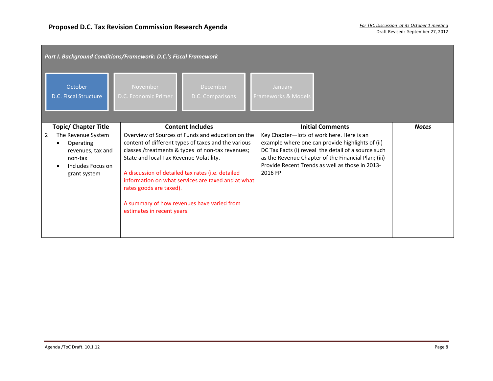|                | Part I. Background Conditions/Framework: D.C.'s Fiscal Framework                                          |                                                                                                  |                                                                                                                                                                                                                                                                                                                       |                                                      |                                                                                                                                                                                                                   |              |  |
|----------------|-----------------------------------------------------------------------------------------------------------|--------------------------------------------------------------------------------------------------|-----------------------------------------------------------------------------------------------------------------------------------------------------------------------------------------------------------------------------------------------------------------------------------------------------------------------|------------------------------------------------------|-------------------------------------------------------------------------------------------------------------------------------------------------------------------------------------------------------------------|--------------|--|
|                | October<br>D.C. Fiscal Structure                                                                          | November<br>D.C. Economic Primer                                                                 | December<br>D.C. Comparisons                                                                                                                                                                                                                                                                                          | January<br>Frameworks & Models                       |                                                                                                                                                                                                                   |              |  |
|                | <b>Topic/ Chapter Title</b>                                                                               |                                                                                                  | <b>Content Includes</b>                                                                                                                                                                                                                                                                                               |                                                      | <b>Initial Comments</b>                                                                                                                                                                                           | <b>Notes</b> |  |
| $\overline{2}$ | The Revenue System<br>Operating<br>٠<br>revenues, tax and<br>non-tax<br>Includes Focus on<br>grant system | State and local Tax Revenue Volatility.<br>rates goods are taxed).<br>estimates in recent years. | Overview of Sources of Funds and education on the<br>content of different types of taxes and the various<br>classes /treatments & types of non-tax revenues;<br>A discussion of detailed tax rates (i.e. detailed<br>information on what services are taxed and at what<br>A summary of how revenues have varied from | Key Chapter-lots of work here. Here is an<br>2016 FP | example where one can provide highlights of (ii)<br>DC Tax Facts (i) reveal the detail of a source such<br>as the Revenue Chapter of the Financial Plan; (iii)<br>Provide Recent Trends as well as those in 2013- |              |  |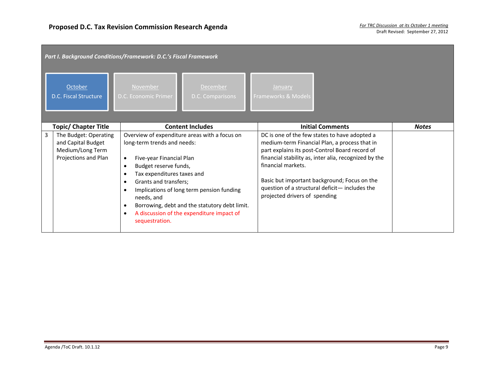|   | Part I. Background Conditions/Framework: D.C.'s Fiscal Framework                        |                                                                                                                                                                                                                                                                                                                                                                                                                                      |                                     |                                                     |                                                                                                                                                                                                                                                                                                             |              |  |
|---|-----------------------------------------------------------------------------------------|--------------------------------------------------------------------------------------------------------------------------------------------------------------------------------------------------------------------------------------------------------------------------------------------------------------------------------------------------------------------------------------------------------------------------------------|-------------------------------------|-----------------------------------------------------|-------------------------------------------------------------------------------------------------------------------------------------------------------------------------------------------------------------------------------------------------------------------------------------------------------------|--------------|--|
|   | October<br>D.C. Fiscal Structure                                                        | November<br>D.C. Economic Primer                                                                                                                                                                                                                                                                                                                                                                                                     | <b>December</b><br>D.C. Comparisons | January<br>Frameworks & Models                      |                                                                                                                                                                                                                                                                                                             |              |  |
|   | <b>Topic/ Chapter Title</b>                                                             | <b>Content Includes</b>                                                                                                                                                                                                                                                                                                                                                                                                              |                                     |                                                     | <b>Initial Comments</b>                                                                                                                                                                                                                                                                                     | <b>Notes</b> |  |
| 3 | The Budget: Operating<br>and Capital Budget<br>Medium/Long Term<br>Projections and Plan | Overview of expenditure areas with a focus on<br>long-term trends and needs:<br>Five-year Financial Plan<br>$\bullet$<br>Budget reserve funds,<br>$\bullet$<br>Tax expenditures taxes and<br>$\bullet$<br>Grants and transfers;<br>$\bullet$<br>Implications of long term pension funding<br>needs, and<br>Borrowing, debt and the statutory debt limit.<br>A discussion of the expenditure impact of<br>$\bullet$<br>sequestration. |                                     | financial markets.<br>projected drivers of spending | DC is one of the few states to have adopted a<br>medium-term Financial Plan, a process that in<br>part explains its post-Control Board record of<br>financial stability as, inter alia, recognized by the<br>Basic but important background; Focus on the<br>question of a structural deficit- includes the |              |  |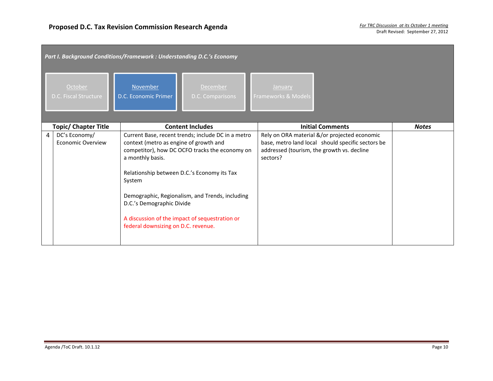|   | Part I. Background Conditions/Framework : Understanding D.C.'s Economy |                                                                                                                                          |                                                                                                                                                                                                                                                          |                                                                                                                                                             |              |  |  |
|---|------------------------------------------------------------------------|------------------------------------------------------------------------------------------------------------------------------------------|----------------------------------------------------------------------------------------------------------------------------------------------------------------------------------------------------------------------------------------------------------|-------------------------------------------------------------------------------------------------------------------------------------------------------------|--------------|--|--|
|   | October<br>D.C. Fiscal Structure                                       | November<br>D.C. Economic Primer                                                                                                         | <b>December</b><br>D.C. Comparisons                                                                                                                                                                                                                      | January<br>Frameworks & Models                                                                                                                              |              |  |  |
|   | <b>Topic/ Chapter Title</b>                                            |                                                                                                                                          | <b>Content Includes</b>                                                                                                                                                                                                                                  | <b>Initial Comments</b>                                                                                                                                     | <b>Notes</b> |  |  |
| 4 | DC's Economy/<br>Economic Overview                                     | context (metro as engine of growth and<br>a monthly basis.<br>System<br>D.C.'s Demographic Divide<br>federal downsizing on D.C. revenue. | Current Base, recent trends; include DC in a metro<br>competitor), how DC OCFO tracks the economy on<br>Relationship between D.C.'s Economy its Tax<br>Demographic, Regionalism, and Trends, including<br>A discussion of the impact of sequestration or | Rely on ORA material &/or projected economic<br>base, metro land local should specific sectors be<br>addressed (tourism, the growth vs. decline<br>sectors? |              |  |  |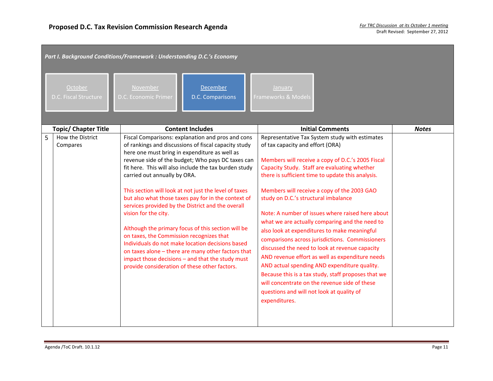|   | Part I. Background Conditions/Framework : Understanding D.C.'s Economy |                                                                                                                                                                                                                                                                                                                                                                                                                                                                                                                                                                                                                                                                                                                                                                                                                        |                                                                                                                                                                                                                                                                                                                                                                                                                                                                                                                                                                                                                                                                                                                                                                                                                                                                         |              |  |  |  |
|---|------------------------------------------------------------------------|------------------------------------------------------------------------------------------------------------------------------------------------------------------------------------------------------------------------------------------------------------------------------------------------------------------------------------------------------------------------------------------------------------------------------------------------------------------------------------------------------------------------------------------------------------------------------------------------------------------------------------------------------------------------------------------------------------------------------------------------------------------------------------------------------------------------|-------------------------------------------------------------------------------------------------------------------------------------------------------------------------------------------------------------------------------------------------------------------------------------------------------------------------------------------------------------------------------------------------------------------------------------------------------------------------------------------------------------------------------------------------------------------------------------------------------------------------------------------------------------------------------------------------------------------------------------------------------------------------------------------------------------------------------------------------------------------------|--------------|--|--|--|
|   | October<br>D.C. Fiscal Structure                                       | November<br><b>December</b><br>D.C. Economic Primer<br>D.C. Comparisons                                                                                                                                                                                                                                                                                                                                                                                                                                                                                                                                                                                                                                                                                                                                                | January<br>Frameworks & Models                                                                                                                                                                                                                                                                                                                                                                                                                                                                                                                                                                                                                                                                                                                                                                                                                                          |              |  |  |  |
|   | <b>Topic/ Chapter Title</b>                                            | <b>Content Includes</b>                                                                                                                                                                                                                                                                                                                                                                                                                                                                                                                                                                                                                                                                                                                                                                                                | <b>Initial Comments</b>                                                                                                                                                                                                                                                                                                                                                                                                                                                                                                                                                                                                                                                                                                                                                                                                                                                 | <b>Notes</b> |  |  |  |
| 5 | How the District<br>Compares                                           | Fiscal Comparisons: explanation and pros and cons<br>of rankings and discussions of fiscal capacity study<br>here one must bring in expenditure as well as<br>revenue side of the budget; Who pays DC taxes can<br>fit here. This will also include the tax burden study<br>carried out annually by ORA.<br>This section will look at not just the level of taxes<br>but also what those taxes pay for in the context of<br>services provided by the District and the overall<br>vision for the city.<br>Although the primary focus of this section will be<br>on taxes, the Commission recognizes that<br>Individuals do not make location decisions based<br>on taxes alone - there are many other factors that<br>impact those decisions - and that the study must<br>provide consideration of these other factors. | Representative Tax System study with estimates<br>of tax capacity and effort (ORA)<br>Members will receive a copy of D.C.'s 2005 Fiscal<br>Capacity Study. Staff are evaluating whether<br>there is sufficient time to update this analysis.<br>Members will receive a copy of the 2003 GAO<br>study on D.C.'s structural imbalance<br>Note: A number of issues where raised here about<br>what we are actually comparing and the need to<br>also look at expenditures to make meaningful<br>comparisons across jurisdictions. Commissioners<br>discussed the need to look at revenue capacity<br>AND revenue effort as well as expenditure needs<br>AND actual spending AND expenditure quality.<br>Because this is a tax study, staff proposes that we<br>will concentrate on the revenue side of these<br>questions and will not look at quality of<br>expenditures. |              |  |  |  |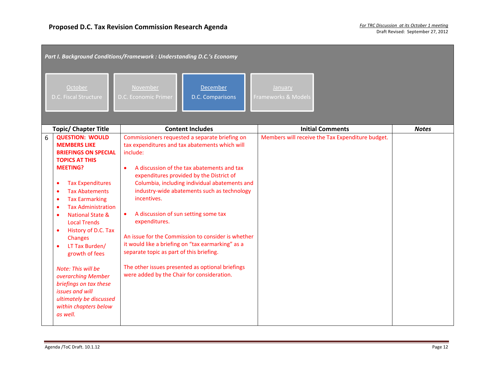| Part I. Background Conditions/Framework : Understanding D.C.'s Economy                                                                                                                                                                                                                                                                                                                                                                                                                                                                                                                            |                                                                                                                                                                                                                                                                                                                                                                                                                                                                                                                                                                                                                                                                   |                                                  |              |  |  |  |
|---------------------------------------------------------------------------------------------------------------------------------------------------------------------------------------------------------------------------------------------------------------------------------------------------------------------------------------------------------------------------------------------------------------------------------------------------------------------------------------------------------------------------------------------------------------------------------------------------|-------------------------------------------------------------------------------------------------------------------------------------------------------------------------------------------------------------------------------------------------------------------------------------------------------------------------------------------------------------------------------------------------------------------------------------------------------------------------------------------------------------------------------------------------------------------------------------------------------------------------------------------------------------------|--------------------------------------------------|--------------|--|--|--|
| October<br>D.C. Fiscal Structure                                                                                                                                                                                                                                                                                                                                                                                                                                                                                                                                                                  | November<br>December<br>D.C. Comparisons<br>D.C. Economic Primer                                                                                                                                                                                                                                                                                                                                                                                                                                                                                                                                                                                                  | January<br>Frameworks & Models                   |              |  |  |  |
| <b>Topic/ Chapter Title</b>                                                                                                                                                                                                                                                                                                                                                                                                                                                                                                                                                                       | <b>Content Includes</b>                                                                                                                                                                                                                                                                                                                                                                                                                                                                                                                                                                                                                                           | <b>Initial Comments</b>                          | <b>Notes</b> |  |  |  |
| <b>QUESTION: WOULD</b><br>6<br><b>MEMBERS LIKE</b><br><b>BRIEFINGS ON SPECIAL</b><br><b>TOPICS AT THIS</b><br><b>MEETING?</b><br><b>Tax Expenditures</b><br>٠<br><b>Tax Abatements</b><br><b>Tax Earmarking</b><br>$\bullet$<br><b>Tax Administration</b><br>$\bullet$<br><b>National State &amp;</b><br>$\bullet$<br><b>Local Trends</b><br>History of D.C. Tax<br>٠<br><b>Changes</b><br>LT Tax Burden/<br>$\bullet$<br>growth of fees<br>Note: This will be<br>overarching Member<br>briefings on tax these<br>issues and will<br>ultimately be discussed<br>within chapters below<br>as well. | Commissioners requested a separate briefing on<br>tax expenditures and tax abatements which will<br>include:<br>A discussion of the tax abatements and tax<br>$\bullet$<br>expenditures provided by the District of<br>Columbia, including individual abatements and<br>industry-wide abatements such as technology<br>incentives.<br>A discussion of sun setting some tax<br>$\bullet$<br>expenditures.<br>An issue for the Commission to consider is whether<br>it would like a briefing on "tax earmarking" as a<br>separate topic as part of this briefing.<br>The other issues presented as optional briefings<br>were added by the Chair for consideration. | Members will receive the Tax Expenditure budget. |              |  |  |  |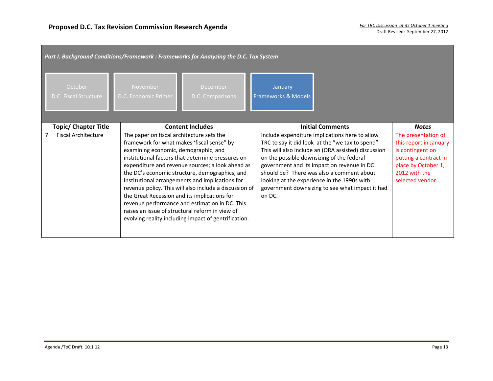|                | Part I. Background Conditions/Framework : Frameworks for Analyzing the D.C. Tax System |                                                                                                                                                                                 |                                                                                                                                                                                                                                                                                                                                                                                                                                   |                                                     |                                                                                                                                                                                                                                                                                                                                                       |                                                                                                                                                        |  |  |
|----------------|----------------------------------------------------------------------------------------|---------------------------------------------------------------------------------------------------------------------------------------------------------------------------------|-----------------------------------------------------------------------------------------------------------------------------------------------------------------------------------------------------------------------------------------------------------------------------------------------------------------------------------------------------------------------------------------------------------------------------------|-----------------------------------------------------|-------------------------------------------------------------------------------------------------------------------------------------------------------------------------------------------------------------------------------------------------------------------------------------------------------------------------------------------------------|--------------------------------------------------------------------------------------------------------------------------------------------------------|--|--|
|                | October<br>D.C. Fiscal Structure                                                       | November<br>D.C. Economic Primer                                                                                                                                                | <b>December</b><br>D.C. Comparisons                                                                                                                                                                                                                                                                                                                                                                                               | January<br>Frameworks & Models                      |                                                                                                                                                                                                                                                                                                                                                       |                                                                                                                                                        |  |  |
|                | <b>Topic/ Chapter Title</b>                                                            |                                                                                                                                                                                 | <b>Content Includes</b>                                                                                                                                                                                                                                                                                                                                                                                                           |                                                     | <b>Initial Comments</b>                                                                                                                                                                                                                                                                                                                               | <b>Notes</b>                                                                                                                                           |  |  |
| $\overline{7}$ | <b>Fiscal Architecture</b>                                                             | The paper on fiscal architecture sets the<br>framework for what makes 'fiscal sense" by<br>examining economic, demographic, and<br>the Great Recession and its implications for | institutional factors that determine pressures on<br>expenditure and revenue sources; a look ahead as<br>the DC's economic structure, demographics, and<br>Institutional arrangements and implications for<br>revenue policy. This will also include a discussion of<br>revenue performance and estimation in DC. This<br>raises an issue of structural reform in view of<br>evolving reality including impact of gentrification. | on the possible downsizing of the federal<br>on DC. | Include expenditure implications here to allow<br>TRC to say it did look at the "we tax to spend"<br>This will also include an (ORA assisted) discussion<br>government and its impact on revenue in DC<br>should be? There was also a comment about<br>looking at the experience in the 1990s with<br>government downsizing to see what impact it had | The presentation of<br>this report in January<br>is contingent on<br>putting a contract in<br>place by October 1,<br>2012 with the<br>selected vendor. |  |  |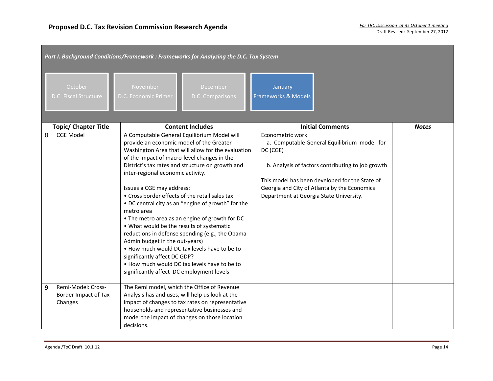|   | Part I. Background Conditions/Framework : Frameworks for Analyzing the D.C. Tax System |                                                                                                                                                                                                                                                                                                                                                                                                                                                                                                                                                                                                                                                                                                                                                                                                           |                                                                                                                                                                                                                                                                               |              |  |  |  |
|---|----------------------------------------------------------------------------------------|-----------------------------------------------------------------------------------------------------------------------------------------------------------------------------------------------------------------------------------------------------------------------------------------------------------------------------------------------------------------------------------------------------------------------------------------------------------------------------------------------------------------------------------------------------------------------------------------------------------------------------------------------------------------------------------------------------------------------------------------------------------------------------------------------------------|-------------------------------------------------------------------------------------------------------------------------------------------------------------------------------------------------------------------------------------------------------------------------------|--------------|--|--|--|
|   | October<br>D.C. Fiscal Structure                                                       | November<br>December<br><b>D.C. Economic Primer</b><br>D.C. Comparisons                                                                                                                                                                                                                                                                                                                                                                                                                                                                                                                                                                                                                                                                                                                                   | <b>January</b><br><b>Frameworks &amp; Models</b>                                                                                                                                                                                                                              |              |  |  |  |
|   | <b>Topic/ Chapter Title</b>                                                            | <b>Content Includes</b>                                                                                                                                                                                                                                                                                                                                                                                                                                                                                                                                                                                                                                                                                                                                                                                   | <b>Initial Comments</b>                                                                                                                                                                                                                                                       | <b>Notes</b> |  |  |  |
| 8 | <b>CGE Model</b>                                                                       | A Computable General Equilibrium Model will<br>provide an economic model of the Greater<br>Washington Area that will allow for the evaluation<br>of the impact of macro-level changes in the<br>District's tax rates and structure on growth and<br>inter-regional economic activity.<br>Issues a CGE may address:<br>• Cross border effects of the retail sales tax<br>• DC central city as an "engine of growth" for the<br>metro area<br>• The metro area as an engine of growth for DC<br>. What would be the results of systematic<br>reductions in defense spending (e.g., the Obama<br>Admin budget in the out-years)<br>. How much would DC tax levels have to be to<br>significantly affect DC GDP?<br>. How much would DC tax levels have to be to<br>significantly affect DC employment levels | Econometric work<br>a. Computable General Equilibrium model for<br>DC (CGE)<br>b. Analysis of factors contributing to job growth<br>This model has been developed for the State of<br>Georgia and City of Atlanta by the Economics<br>Department at Georgia State University. |              |  |  |  |
| 9 | Remi-Model: Cross-<br>Border Impact of Tax<br>Changes                                  | The Remi model, which the Office of Revenue<br>Analysis has and uses, will help us look at the<br>impact of changes to tax rates on representative<br>households and representative businesses and<br>model the impact of changes on those location<br>decisions.                                                                                                                                                                                                                                                                                                                                                                                                                                                                                                                                         |                                                                                                                                                                                                                                                                               |              |  |  |  |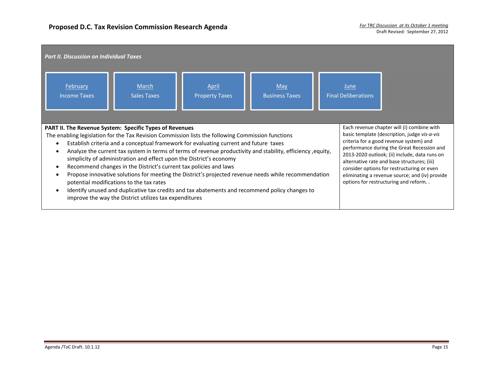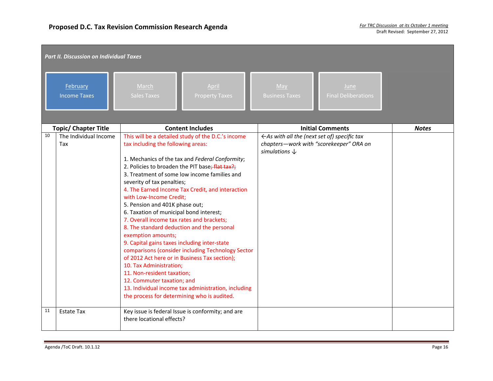|    | <b>Part II. Discussion on Individual Taxes</b> |                                                                                                                                                                                                                                                                                                                                                                                                                                                                                 |                                                                                                                                                                                                                                                                                                                                                                                                                           |                                                                                     |                                         |              |  |  |
|----|------------------------------------------------|---------------------------------------------------------------------------------------------------------------------------------------------------------------------------------------------------------------------------------------------------------------------------------------------------------------------------------------------------------------------------------------------------------------------------------------------------------------------------------|---------------------------------------------------------------------------------------------------------------------------------------------------------------------------------------------------------------------------------------------------------------------------------------------------------------------------------------------------------------------------------------------------------------------------|-------------------------------------------------------------------------------------|-----------------------------------------|--------------|--|--|
|    | February<br><b>Income Taxes</b>                | March<br><b>Sales Taxes</b>                                                                                                                                                                                                                                                                                                                                                                                                                                                     | April<br><b>Property Taxes</b>                                                                                                                                                                                                                                                                                                                                                                                            | May<br><b>Business Taxes</b>                                                        | June<br><b>Final Deliberations</b>      |              |  |  |
|    | <b>Topic/ Chapter Title</b>                    |                                                                                                                                                                                                                                                                                                                                                                                                                                                                                 | <b>Content Includes</b>                                                                                                                                                                                                                                                                                                                                                                                                   |                                                                                     | <b>Initial Comments</b>                 | <b>Notes</b> |  |  |
| 10 | The Individual Income<br>Tax                   | tax including the following areas:<br>severity of tax penalties;<br>with Low-Income Credit;<br>5. Pension and 401K phase out;<br>6. Taxation of municipal bond interest;<br>7. Overall income tax rates and brackets;<br>8. The standard deduction and the personal<br>exemption amounts;<br>9. Capital gains taxes including inter-state<br>10. Tax Administration;<br>11. Non-resident taxation;<br>12. Commuter taxation; and<br>the process for determining who is audited. | This will be a detailed study of the D.C.'s income<br>1. Mechanics of the tax and Federal Conformity;<br>2. Policies to broaden the PIT base; flat tax?;<br>3. Treatment of some low income families and<br>4. The Earned Income Tax Credit, and interaction<br>comparisons (consider including Technology Sector<br>of 2012 Act here or in Business Tax section);<br>13. Individual income tax administration, including | $\leftarrow$ As with all the (next set of) specific tax<br>simulations $\downarrow$ | chapters-work with "scorekeeper" ORA on |              |  |  |
| 11 | <b>Estate Tax</b>                              | there locational effects?                                                                                                                                                                                                                                                                                                                                                                                                                                                       | Key issue is federal Issue is conformity; and are                                                                                                                                                                                                                                                                                                                                                                         |                                                                                     |                                         |              |  |  |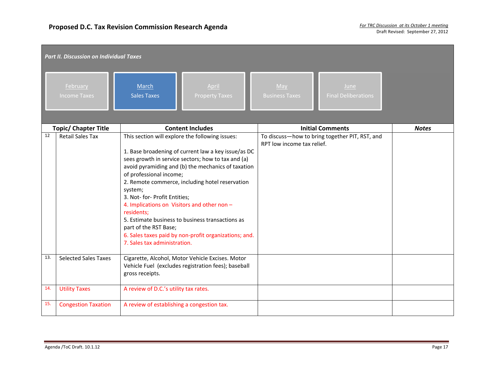|     | <b>Part II. Discussion on Individual Taxes</b> |                                                                                                                                                                                                                                                                                                                                                                                                                                                                                                                                                                                 |                                                                              |              |  |  |  |  |
|-----|------------------------------------------------|---------------------------------------------------------------------------------------------------------------------------------------------------------------------------------------------------------------------------------------------------------------------------------------------------------------------------------------------------------------------------------------------------------------------------------------------------------------------------------------------------------------------------------------------------------------------------------|------------------------------------------------------------------------------|--------------|--|--|--|--|
|     | February<br><b>Income Taxes</b>                | March<br>April<br><b>Sales Taxes</b><br><b>Property Taxes</b>                                                                                                                                                                                                                                                                                                                                                                                                                                                                                                                   | May<br>June<br><b>Final Deliberations</b><br><b>Business Taxes</b>           |              |  |  |  |  |
|     | <b>Topic/ Chapter Title</b>                    | <b>Content Includes</b>                                                                                                                                                                                                                                                                                                                                                                                                                                                                                                                                                         | <b>Initial Comments</b>                                                      | <b>Notes</b> |  |  |  |  |
| 12  | <b>Retail Sales Tax</b>                        | This section will explore the following issues:<br>1. Base broadening of current law a key issue/as DC<br>sees growth in service sectors; how to tax and (a)<br>avoid pyramiding and (b) the mechanics of taxation<br>of professional income;<br>2. Remote commerce, including hotel reservation<br>system;<br>3. Not- for- Profit Entities;<br>4. Implications on Visitors and other non -<br>residents;<br>5. Estimate business to business transactions as<br>part of the RST Base;<br>6. Sales taxes paid by non-profit organizations; and.<br>7. Sales tax administration. | To discuss-how to bring together PIT, RST, and<br>RPT low income tax relief. |              |  |  |  |  |
| 13. | <b>Selected Sales Taxes</b>                    | Cigarette, Alcohol, Motor Vehicle Excises. Motor<br>Vehicle Fuel (excludes registration fees); baseball<br>gross receipts.                                                                                                                                                                                                                                                                                                                                                                                                                                                      |                                                                              |              |  |  |  |  |
| 14. | <b>Utility Taxes</b>                           | A review of D.C.'s utility tax rates.                                                                                                                                                                                                                                                                                                                                                                                                                                                                                                                                           |                                                                              |              |  |  |  |  |
| 15. | <b>Congestion Taxation</b>                     | A review of establishing a congestion tax.                                                                                                                                                                                                                                                                                                                                                                                                                                                                                                                                      |                                                                              |              |  |  |  |  |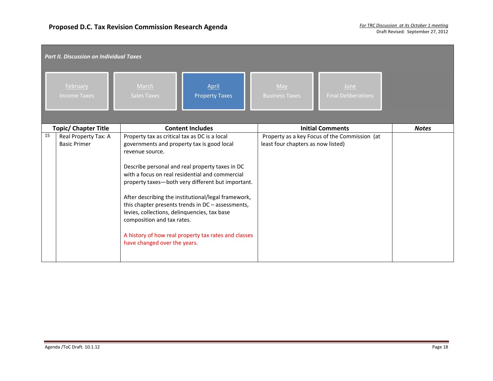|    | <b>Part II. Discussion on Individual Taxes</b> |                                                                                                                                                                                                                              |                                                                                                                                                                                                                                                                                                                             |                                    |                                               |              |  |  |
|----|------------------------------------------------|------------------------------------------------------------------------------------------------------------------------------------------------------------------------------------------------------------------------------|-----------------------------------------------------------------------------------------------------------------------------------------------------------------------------------------------------------------------------------------------------------------------------------------------------------------------------|------------------------------------|-----------------------------------------------|--------------|--|--|
|    | February<br><b>Income Taxes</b>                | March<br><b>Sales Taxes</b>                                                                                                                                                                                                  | April<br><b>Property Taxes</b>                                                                                                                                                                                                                                                                                              | May<br><b>Business Taxes</b>       | June<br><b>Final Deliberations</b>            |              |  |  |
|    | <b>Topic/ Chapter Title</b>                    |                                                                                                                                                                                                                              | <b>Content Includes</b>                                                                                                                                                                                                                                                                                                     |                                    | <b>Initial Comments</b>                       | <b>Notes</b> |  |  |
| 15 | Real Property Tax: A<br><b>Basic Primer</b>    | Property tax as critical tax as DC is a local<br>governments and property tax is good local<br>revenue source.<br>levies, collections, delinquencies, tax base<br>composition and tax rates.<br>have changed over the years. | Describe personal and real property taxes in DC<br>with a focus on real residential and commercial<br>property taxes-both very different but important.<br>After describing the institutional/legal framework,<br>this chapter presents trends in DC - assessments,<br>A history of how real property tax rates and classes | least four chapters as now listed) | Property as a key Focus of the Commission (at |              |  |  |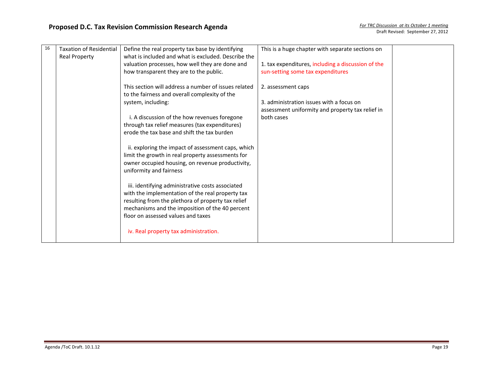| 16 | <b>Taxation of Residential</b><br><b>Real Property</b> | Define the real property tax base by identifying<br>what is included and what is excluded. Describe the                                                   | This is a huge chapter with separate sections on                                             |  |
|----|--------------------------------------------------------|-----------------------------------------------------------------------------------------------------------------------------------------------------------|----------------------------------------------------------------------------------------------|--|
|    |                                                        | valuation processes, how well they are done and<br>how transparent they are to the public.                                                                | 1. tax expenditures, including a discussion of the<br>sun-setting some tax expenditures      |  |
|    |                                                        | This section will address a number of issues related<br>to the fairness and overall complexity of the                                                     | 2. assessment caps                                                                           |  |
|    |                                                        | system, including:                                                                                                                                        | 3. administration issues with a focus on<br>assessment uniformity and property tax relief in |  |
|    |                                                        | i. A discussion of the how revenues foregone<br>through tax relief measures (tax expenditures)<br>erode the tax base and shift the tax burden             | both cases                                                                                   |  |
|    |                                                        | ii. exploring the impact of assessment caps, which                                                                                                        |                                                                                              |  |
|    |                                                        | limit the growth in real property assessments for<br>owner occupied housing, on revenue productivity,<br>uniformity and fairness                          |                                                                                              |  |
|    |                                                        | iii. identifying administrative costs associated                                                                                                          |                                                                                              |  |
|    |                                                        | with the implementation of the real property tax<br>resulting from the plethora of property tax relief<br>mechanisms and the imposition of the 40 percent |                                                                                              |  |
|    |                                                        | floor on assessed values and taxes                                                                                                                        |                                                                                              |  |
|    |                                                        | iv. Real property tax administration.                                                                                                                     |                                                                                              |  |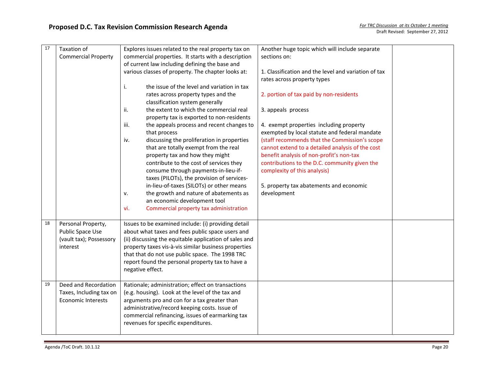| 17 | Taxation of                | Explores issues related to the real property tax on    | Another huge topic which will include separate       |
|----|----------------------------|--------------------------------------------------------|------------------------------------------------------|
|    | <b>Commercial Property</b> | commercial properties. It starts with a description    | sections on:                                         |
|    |                            | of current law including defining the base and         |                                                      |
|    |                            | various classes of property. The chapter looks at:     | 1. Classification and the level and variation of tax |
|    |                            |                                                        | rates across property types                          |
|    |                            | the issue of the level and variation in tax<br>i.      |                                                      |
|    |                            | rates across property types and the                    | 2. portion of tax paid by non-residents              |
|    |                            | classification system generally                        |                                                      |
|    |                            | the extent to which the commercial real<br>ii.         | 3. appeals process                                   |
|    |                            | property tax is exported to non-residents              |                                                      |
|    |                            | the appeals process and recent changes to<br>iii.      | 4. exempt properties including property              |
|    |                            | that process                                           | exempted by local statute and federal mandate        |
|    |                            | discussing the proliferation in properties<br>iv.      | (staff recommends that the Commission's scope        |
|    |                            | that are totally exempt from the real                  | cannot extend to a detailed analysis of the cost     |
|    |                            | property tax and how they might                        | benefit analysis of non-profit's non-tax             |
|    |                            | contribute to the cost of services they                | contributions to the D.C. community given the        |
|    |                            | consume through payments-in-lieu-if-                   | complexity of this analysis)                         |
|    |                            | taxes (PILOTs), the provision of services-             |                                                      |
|    |                            | in-lieu-of-taxes (SILOTs) or other means               | 5. property tax abatements and economic              |
|    |                            | the growth and nature of abatements as<br>۷.           | development                                          |
|    |                            | an economic development tool                           |                                                      |
|    |                            | Commercial property tax administration<br>vi.          |                                                      |
|    |                            |                                                        |                                                      |
| 18 | Personal Property,         | Issues to be examined include: (i) providing detail    |                                                      |
|    | Public Space Use           | about what taxes and fees public space users and       |                                                      |
|    | (vault tax); Possessory    | (ii) discussing the equitable application of sales and |                                                      |
|    | interest                   | property taxes vis-à-vis similar business properties   |                                                      |
|    |                            | that that do not use public space. The 1998 TRC        |                                                      |
|    |                            | report found the personal property tax to have a       |                                                      |
|    |                            | negative effect.                                       |                                                      |
|    |                            |                                                        |                                                      |
| 19 | Deed and Recordation       | Rationale; administration; effect on transactions      |                                                      |
|    | Taxes, Including tax on    | (e.g. housing). Look at the level of the tax and       |                                                      |
|    | <b>Economic Interests</b>  | arguments pro and con for a tax greater than           |                                                      |
|    |                            | administrative/record keeping costs. Issue of          |                                                      |
|    |                            | commercial refinancing, issues of earmarking tax       |                                                      |
|    |                            | revenues for specific expenditures.                    |                                                      |
|    |                            |                                                        |                                                      |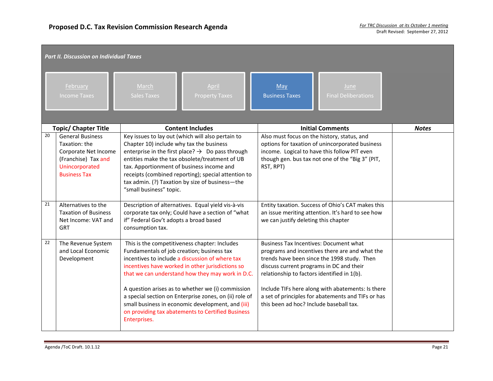| <b>Part II. Discussion on Individual Taxes</b> |                                                                                                                                  |                                                                                                                                                                                                                                                                                                                                                                                                                                                                                                 |  |                                                                                                                                                                                                                                                                                                                                                                                                 |  |              |  |  |  |
|------------------------------------------------|----------------------------------------------------------------------------------------------------------------------------------|-------------------------------------------------------------------------------------------------------------------------------------------------------------------------------------------------------------------------------------------------------------------------------------------------------------------------------------------------------------------------------------------------------------------------------------------------------------------------------------------------|--|-------------------------------------------------------------------------------------------------------------------------------------------------------------------------------------------------------------------------------------------------------------------------------------------------------------------------------------------------------------------------------------------------|--|--------------|--|--|--|
|                                                | February<br><b>Income Taxes</b>                                                                                                  | March<br>April<br><b>Sales Taxes</b><br><b>Property Taxes</b>                                                                                                                                                                                                                                                                                                                                                                                                                                   |  | May<br>June<br><b>Business Taxes</b><br><b>Final Deliberations</b>                                                                                                                                                                                                                                                                                                                              |  |              |  |  |  |
| <b>Topic/ Chapter Title</b>                    |                                                                                                                                  | <b>Content Includes</b>                                                                                                                                                                                                                                                                                                                                                                                                                                                                         |  | <b>Initial Comments</b>                                                                                                                                                                                                                                                                                                                                                                         |  | <b>Notes</b> |  |  |  |
| 20                                             | <b>General Business</b><br>Taxation: the<br>Corporate Net Income<br>(Franchise) Tax and<br>Unincorporated<br><b>Business Tax</b> | Key issues to lay out (which will also pertain to<br>Chapter 10) include why tax the business<br>enterprise in the first place? $\rightarrow$ Do pass through<br>entities make the tax obsolete/treatment of UB<br>tax. Apportionment of business income and<br>receipts (combined reporting); special attention to<br>tax admin. (?) Taxation by size of business-the<br>"small business" topic.                                                                                               |  | Also must focus on the history, status, and<br>options for taxation of unincorporated business<br>income. Logical to have this follow PIT even<br>though gen. bus tax not one of the "Big 3" (PIT,<br>RST, RPT)                                                                                                                                                                                 |  |              |  |  |  |
| 21                                             | Alternatives to the<br><b>Taxation of Business</b><br>Net Income: VAT and<br><b>GRT</b>                                          | Description of alternatives. Equal yield vis-à-vis<br>corporate tax only; Could have a section of "what<br>if" Federal Gov't adopts a broad based<br>consumption tax.                                                                                                                                                                                                                                                                                                                           |  | Entity taxation. Success of Ohio's CAT makes this<br>an issue meriting attention. It's hard to see how<br>we can justify deleting this chapter                                                                                                                                                                                                                                                  |  |              |  |  |  |
| 22                                             | The Revenue System<br>and Local Economic<br>Development                                                                          | This is the competitiveness chapter: Includes<br>Fundamentals of job creation; business tax<br>incentives to include a discussion of where tax<br>incentives have worked in other jurisdictions so<br>that we can understand how they may work in D.C.<br>A question arises as to whether we (i) commission<br>a special section on Enterprise zones, on (ii) role of<br>small business in economic development, and (iii)<br>on providing tax abatements to Certified Business<br>Enterprises. |  | <b>Business Tax Incentives: Document what</b><br>programs and incentives there are and what the<br>trends have been since the 1998 study. Then<br>discuss current programs in DC and their<br>relationship to factors identified in 1(b).<br>Include TIFs here along with abatements: Is there<br>a set of principles for abatements and TIFs or has<br>this been ad hoc? Include baseball tax. |  |              |  |  |  |